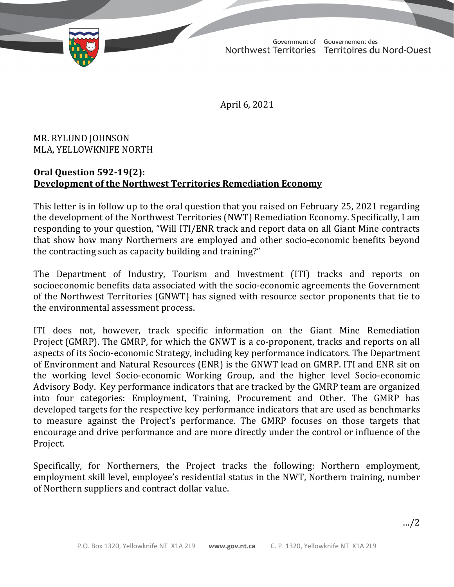

Government of Gouvernement des Northwest Territories Territoires du Nord-Ouest

April 6, 2021

MR. RYLUND JOHNSON MLA, YELLOWKNIFE NORTH

## **Oral Question 592-19(2): Development of the Northwest Territories Remediation Economy**

This letter is in follow up to the oral question that you raised on February 25, 2021 regarding the development of the Northwest Territories (NWT) Remediation Economy. Specifically, I am responding to your question, "Will ITI/ENR track and report data on all Giant Mine contracts that show how many Northerners are employed and other socio-economic benefits beyond the contracting such as capacity building and training?"

The Department of Industry, Tourism and Investment (ITI) tracks and reports on socioeconomic benefits data associated with the socio-economic agreements the Government of the Northwest Territories (GNWT) has signed with resource sector proponents that tie to the environmental assessment process.

ITI does not, however, track specific information on the Giant Mine Remediation Project (GMRP). The GMRP, for which the GNWT is a co-proponent, tracks and reports on all aspects of its Socio-economic Strategy, including key performance indicators. The Department of Environment and Natural Resources (ENR) is the GNWT lead on GMRP. ITI and ENR sit on the working level Socio-economic Working Group, and the higher level Socio-economic Advisory Body. Key performance indicators that are tracked by the GMRP team are organized into four categories: Employment, Training, Procurement and Other. The GMRP has developed targets for the respective key performance indicators that are used as benchmarks to measure against the Project's performance. The GMRP focuses on those targets that encourage and drive performance and are more directly under the control or influence of the Project.

Specifically, for Northerners, the Project tracks the following: Northern employment, employment skill level, employee's residential status in the NWT, Northern training, number of Northern suppliers and contract dollar value.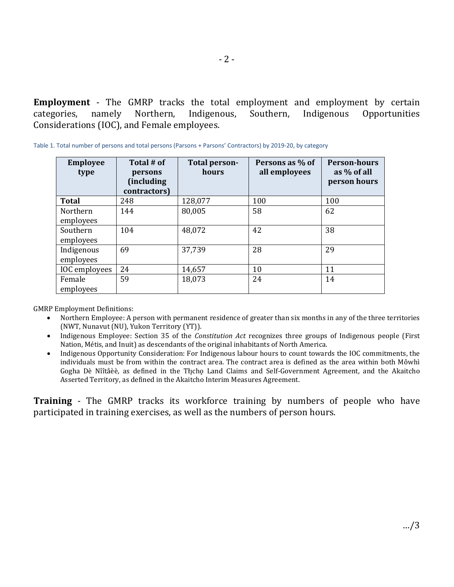**Employment** - The GMRP tracks the total employment and employment by certain categories, namely Northern, Indigenous, Southern, Indigenous Opportunities Opportunities Considerations (IOC), and Female employees.

| <b>Employee</b><br>type | Total # of<br>persons<br>(including)<br>contractors) | Total person-<br>hours | Persons as % of<br>all employees | <b>Person-hours</b><br>as % of all<br>person hours |
|-------------------------|------------------------------------------------------|------------------------|----------------------------------|----------------------------------------------------|
| <b>Total</b>            | 248                                                  | 128,077                | 100                              | 100                                                |
| Northern                | 144                                                  | 80,005                 | 58                               | 62                                                 |
| employees               |                                                      |                        |                                  |                                                    |
| Southern                | 104                                                  | 48,072                 | 42                               | 38                                                 |
| employees               |                                                      |                        |                                  |                                                    |
| Indigenous              | 69                                                   | 37,739                 | 28                               | 29                                                 |
| employees               |                                                      |                        |                                  |                                                    |
| IOC employees           | 24                                                   | 14,657                 | 10                               | 11                                                 |
| Female                  | 59                                                   | 18,073                 | 24                               | 14                                                 |
| employees               |                                                      |                        |                                  |                                                    |

Table 1. Total number of persons and total persons (Parsons + Parsons' Contractors) by 2019-20, by category

GMRP Employment Definitions:<br>• Northern Employee: A r

- Northern Employee: A person with permanent residence of greater than six months in any of the three territories (NWT, Nunavut (NU), Yukon Territory (YT)).
- Indigenous Employee: Section 35 of the *Constitution Act* recognizes three groups of Indigenous people (First Nation, Métis, and Inuit) as descendants of the original inhabitants of North America.
- Indigenous Opportunity Consideration: For Indigenous labour hours to count towards the IOC commitments, the individuals must be from within the contract area. The contract area is defined as the area within both Môwhì Gogha Dè Nîîtåèè, as defined in the Tłįchǫ Land Claims and Self-Government Agreement, and the Akaitcho Asserted Territory, as defined in the Akaitcho Interim Measures Agreement.

**Training** - The GMRP tracks its workforce training by numbers of people who have participated in training exercises, as well as the numbers of person hours.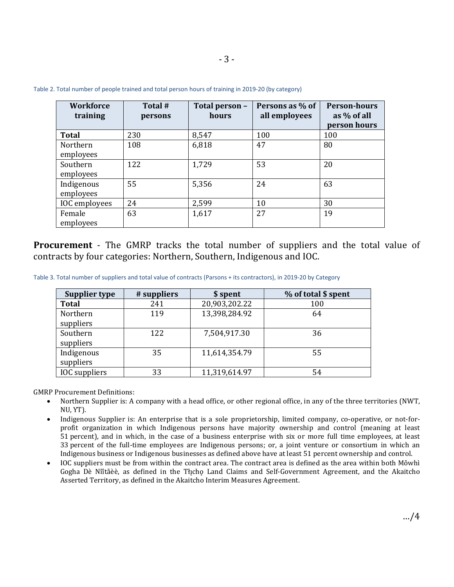| <b>Workforce</b><br>training | Total #<br>persons | Total person -<br>hours | Persons as % of<br>all employees | <b>Person-hours</b><br>as % of all<br>person hours |
|------------------------------|--------------------|-------------------------|----------------------------------|----------------------------------------------------|
| <b>Total</b>                 | 230                | 8,547                   | 100                              | 100                                                |
| Northern<br>employees        | 108                | 6,818                   | 47                               | 80                                                 |
| Southern<br>employees        | 122                | 1,729                   | 53                               | 20                                                 |
| Indigenous<br>employees      | 55                 | 5,356                   | 24                               | 63                                                 |
| IOC employees                | 24                 | 2,599                   | 10                               | 30                                                 |
| Female<br>employees          | 63                 | 1,617                   | 27                               | 19                                                 |

Table 2. Total number of people trained and total person hours of training in 2019-20 (by category)

**Procurement** - The GMRP tracks the total number of suppliers and the total value of contracts by four categories: Northern, Southern, Indigenous and IOC.

Table 3. Total number of suppliers and total value of contracts (Parsons + its contractors), in 2019-20 by Category

| Supplier type           | # suppliers | \$ spent      | % of total \$ spent |
|-------------------------|-------------|---------------|---------------------|
| <b>Total</b>            | 241         | 20,903,202.22 | 100                 |
| Northern<br>suppliers   | 119         | 13,398,284.92 | 64                  |
| Southern<br>suppliers   | 122         | 7,504,917.30  | 36                  |
| Indigenous<br>suppliers | 35          | 11,614,354.79 | 55                  |
| <b>IOC</b> suppliers    | 33          | 11,319,614.97 | 54                  |

GMRP Procurement Definitions:

- Northern Supplier is: A company with a head office, or other regional office, in any of the three territories (NWT, NU, YT).
- Indigenous Supplier is: An enterprise that is a sole proprietorship, limited company, co-operative, or not-forprofit organization in which Indigenous persons have majority ownership and control (meaning at least 51 percent), and in which, in the case of a business enterprise with six or more full time employees, at least 33 percent of the full-time employees are Indigenous persons; or, a joint venture or consortium in which an Indigenous business or Indigenous businesses as defined above have at least 51 percent ownership and control.
- IOC suppliers must be from within the contract area. The contract area is defined as the area within both Môwhì Gogha Dè Nîîtåèè, as defined in the Thcho Land Claims and Self-Government Agreement, and the Akaitcho Asserted Territory, as defined in the Akaitcho Interim Measures Agreement.